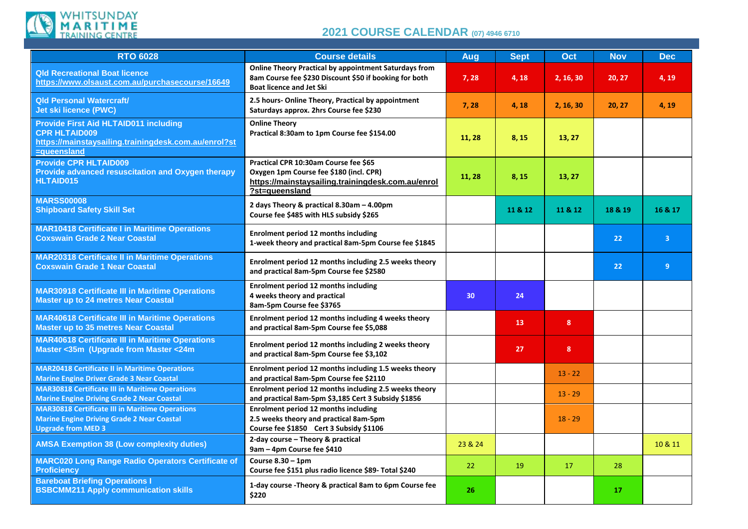

## **2021 COURSE CALENDAR (07) 4946 <sup>6710</sup>**

| <b>RTO 6028</b>                                                                                                                             | <b>Course details</b>                                                                                                                                     | Aug             | <b>Sept</b> | Oct            | <b>Nov</b> | <b>Dec</b>     |
|---------------------------------------------------------------------------------------------------------------------------------------------|-----------------------------------------------------------------------------------------------------------------------------------------------------------|-----------------|-------------|----------------|------------|----------------|
| <b>Qld Recreational Boat licence</b><br>https://www.olsaust.com.au/purchasecourse/16649                                                     | <b>Online Theory Practical by appointment Saturdays from</b><br>8am Course fee \$230 Discount \$50 if booking for both<br><b>Boat licence and Jet Ski</b> | 7,28            | 4,18        | 2, 16, 30      | 20, 27     | 4, 19          |
| <b>Qld Personal Watercraft/</b><br>Jet ski licence (PWC)                                                                                    | 2.5 hours- Online Theory, Practical by appointment<br>Saturdays approx. 2hrs Course fee \$230                                                             | 7,28            | 4,18        | 2, 16, 30      | 20, 27     | 4, 19          |
| <b>Provide First Aid HLTAID011 including</b><br><b>CPR HLTAID009</b><br>https://mainstaysailing.trainingdesk.com.au/enrol?st<br>=queensland | <b>Online Theory</b><br>Practical 8:30am to 1pm Course fee \$154.00                                                                                       | 11, 28          | 8, 15       | 13, 27         |            |                |
| <b>Provide CPR HLTAID009</b><br>Provide advanced resuscitation and Oxygen therapy<br>HLTAID015                                              | Practical CPR 10:30am Course fee \$65<br>Oxygen 1pm Course fee \$180 (incl. CPR)<br>https://mainstaysailing.trainingdesk.com.au/enrol<br>?st=queensland   | 11, 28          | 8, 15       | 13, 27         |            |                |
| <b>MARSS00008</b><br><b>Shipboard Safety Skill Set</b>                                                                                      | 2 days Theory & practical 8.30am - 4.00pm<br>Course fee \$485 with HLS subsidy \$265                                                                      |                 | 11 & 12     | 11 & 12        | 18 & 19    | 16 & 17        |
| <b>MAR10418 Certificate I in Maritime Operations</b><br><b>Coxswain Grade 2 Near Coastal</b>                                                | Enrolment period 12 months including<br>1-week theory and practical 8am-5pm Course fee \$1845                                                             |                 |             |                | 22         | $\overline{3}$ |
| <b>MAR20318 Certificate II in Maritime Operations</b><br><b>Coxswain Grade 1 Near Coastal</b>                                               | Enrolment period 12 months including 2.5 weeks theory<br>and practical 8am-5pm Course fee \$2580                                                          |                 |             |                | 22         | 9              |
| <b>MAR30918 Certificate III in Maritime Operations</b><br><b>Master up to 24 metres Near Coastal</b>                                        | Enrolment period 12 months including<br>4 weeks theory and practical<br>8am-5pm Course fee \$3765                                                         | 30 <sup>°</sup> | 24          |                |            |                |
| <b>MAR40618 Certificate III in Maritime Operations</b><br><b>Master up to 35 metres Near Coastal</b>                                        | Enrolment period 12 months including 4 weeks theory<br>and practical 8am-5pm Course fee \$5,088                                                           |                 | 13          | 8 <sup>°</sup> |            |                |
| <b>MAR40618 Certificate III in Maritime Operations</b><br>Master <35m (Upgrade from Master <24m                                             | Enrolment period 12 months including 2 weeks theory<br>and practical 8am-5pm Course fee \$3,102                                                           |                 | 27          | 8              |            |                |
| <b>MAR20418 Certificate II in Maritime Operations</b><br><b>Marine Engine Driver Grade 3 Near Coastal</b>                                   | Enrolment period 12 months including 1.5 weeks theory<br>and practical 8am-5pm Course fee \$2110                                                          |                 |             | $13 - 22$      |            |                |
| <b>MAR30818 Certificate III in Maritime Operations</b><br><b>Marine Engine Driving Grade 2 Near Coastal</b>                                 | Enrolment period 12 months including 2.5 weeks theory<br>and practical 8am-5pm \$3,185 Cert 3 Subsidy \$1856                                              |                 |             | $13 - 29$      |            |                |
| <b>MAR30818 Certificate III in Maritime Operations</b><br><b>Marine Engine Driving Grade 2 Near Coastal</b><br><b>Upgrade from MED 3</b>    | <b>Enrolment period 12 months including</b><br>2.5 weeks theory and practical 8am-5pm<br>Course fee \$1850 Cert 3 Subsidy \$1106                          |                 |             | $18 - 29$      |            |                |
| <b>AMSA Exemption 38 (Low complexity duties)</b>                                                                                            | 2-day course - Theory & practical<br>9am - 4pm Course fee \$410                                                                                           | 23 & 24         |             |                |            | 10 & 11        |
| <b>MARC020 Long Range Radio Operators Certificate of</b><br><b>Proficiency</b>                                                              | Course $8.30 - 1$ pm<br>Course fee \$151 plus radio licence \$89- Total \$240                                                                             | 22              | 19          | 17             | 28         |                |
| <b>Bareboat Briefing Operations I</b><br><b>BSBCMM211 Apply communication skills</b>                                                        | 1-day course - Theory & practical 8am to 6pm Course fee<br>\$220                                                                                          | 26              |             |                | 17         |                |